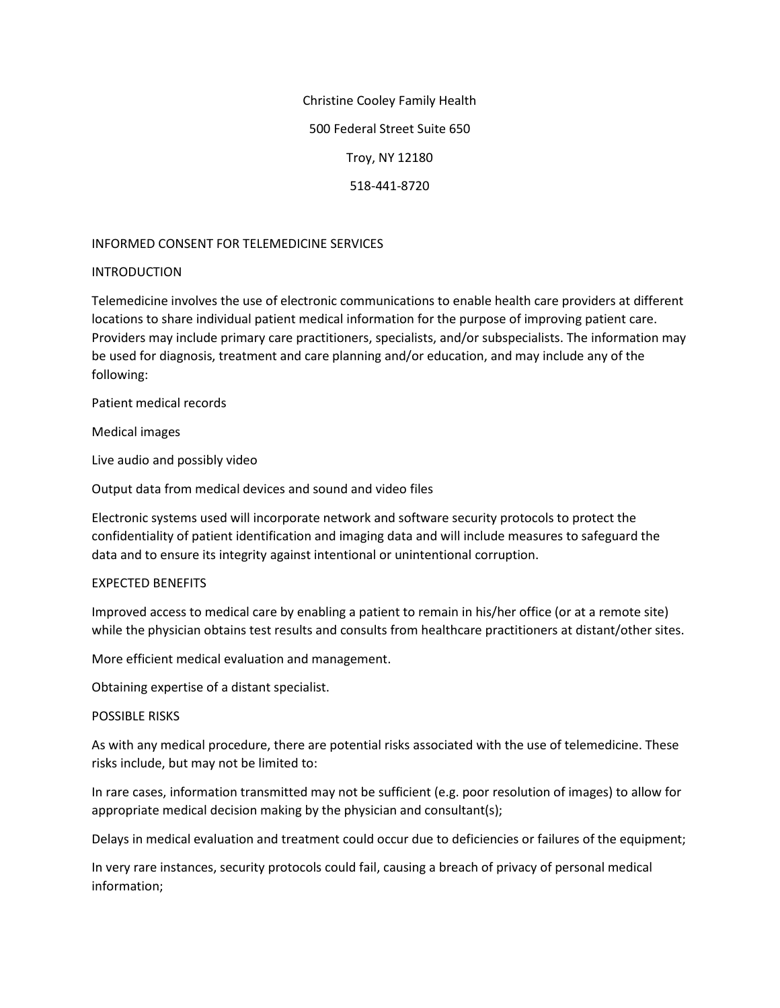Christine Cooley Family Health 500 Federal Street Suite 650 Troy, NY 12180 518-441-8720

## INFORMED CONSENT FOR TELEMEDICINE SERVICES

## INTRODUCTION

Telemedicine involves the use of electronic communications to enable health care providers at different locations to share individual patient medical information for the purpose of improving patient care. Providers may include primary care practitioners, specialists, and/or subspecialists. The information may be used for diagnosis, treatment and care planning and/or education, and may include any of the following:

Patient medical records

Medical images

Live audio and possibly video

Output data from medical devices and sound and video files

Electronic systems used will incorporate network and software security protocols to protect the confidentiality of patient identification and imaging data and will include measures to safeguard the data and to ensure its integrity against intentional or unintentional corruption.

## EXPECTED BENEFITS

Improved access to medical care by enabling a patient to remain in his/her office (or at a remote site) while the physician obtains test results and consults from healthcare practitioners at distant/other sites.

More efficient medical evaluation and management.

Obtaining expertise of a distant specialist.

## POSSIBLE RISKS

As with any medical procedure, there are potential risks associated with the use of telemedicine. These risks include, but may not be limited to:

In rare cases, information transmitted may not be sufficient (e.g. poor resolution of images) to allow for appropriate medical decision making by the physician and consultant(s);

Delays in medical evaluation and treatment could occur due to deficiencies or failures of the equipment;

In very rare instances, security protocols could fail, causing a breach of privacy of personal medical information;